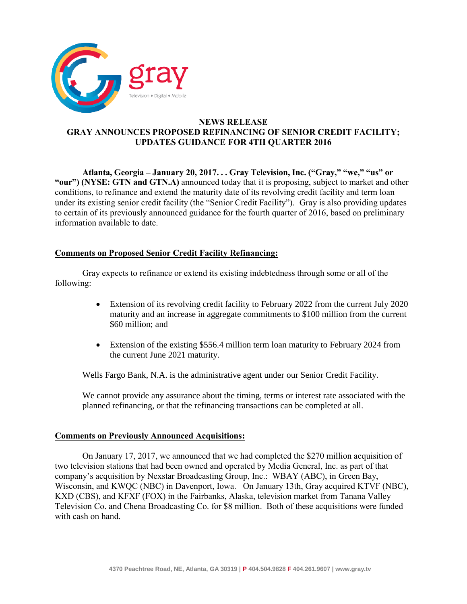

# **NEWS RELEASE GRAY ANNOUNCES PROPOSED REFINANCING OF SENIOR CREDIT FACILITY; UPDATES GUIDANCE FOR 4TH QUARTER 2016**

**Atlanta, Georgia – January 20, 2017. . . Gray Television, Inc. ("Gray," "we," "us" or "our") (NYSE: GTN and GTN.A)** announced today that it is proposing, subject to market and other conditions, to refinance and extend the maturity date of its revolving credit facility and term loan under its existing senior credit facility (the "Senior Credit Facility"). Gray is also providing updates to certain of its previously announced guidance for the fourth quarter of 2016, based on preliminary information available to date.

# **Comments on Proposed Senior Credit Facility Refinancing:**

Gray expects to refinance or extend its existing indebtedness through some or all of the following:

- Extension of its revolving credit facility to February 2022 from the current July 2020 maturity and an increase in aggregate commitments to \$100 million from the current \$60 million; and
- Extension of the existing \$556.4 million term loan maturity to February 2024 from the current June 2021 maturity.

Wells Fargo Bank, N.A. is the administrative agent under our Senior Credit Facility.

We cannot provide any assurance about the timing, terms or interest rate associated with the planned refinancing, or that the refinancing transactions can be completed at all.

### **Comments on Previously Announced Acquisitions:**

On January 17, 2017, we announced that we had completed the \$270 million acquisition of two television stations that had been owned and operated by Media General, Inc. as part of that company's acquisition by Nexstar Broadcasting Group, Inc.: WBAY (ABC), in Green Bay, Wisconsin, and KWQC (NBC) in Davenport, Iowa. On January 13th, Gray acquired KTVF (NBC), KXD (CBS), and KFXF (FOX) in the Fairbanks, Alaska, television market from Tanana Valley Television Co. and Chena Broadcasting Co. for \$8 million. Both of these acquisitions were funded with cash on hand.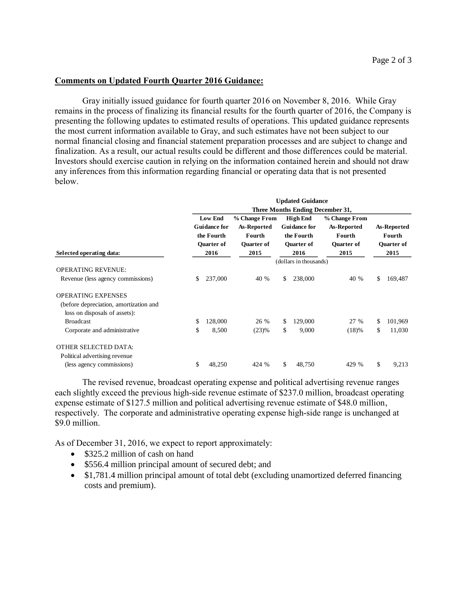#### **Comments on Updated Fourth Quarter 2016 Guidance:**

Gray initially issued guidance for fourth quarter 2016 on November 8, 2016. While Gray remains in the process of finalizing its financial results for the fourth quarter of 2016, the Company is presenting the following updates to estimated results of operations. This updated guidance represents the most current information available to Gray, and such estimates have not been subject to our normal financial closing and financial statement preparation processes and are subject to change and finalization. As a result, our actual results could be different and those differences could be material. Investors should exercise caution in relying on the information contained herein and should not draw any inferences from this information regarding financial or operating data that is not presented below.

|                                        |    | <b>Updated Guidance</b><br>Three Months Ending December 31, |                        |    |                     |                   |    |                   |  |  |
|----------------------------------------|----|-------------------------------------------------------------|------------------------|----|---------------------|-------------------|----|-------------------|--|--|
|                                        |    |                                                             |                        |    |                     |                   |    |                   |  |  |
|                                        |    | <b>Low End</b>                                              | % Change From          |    | <b>High End</b>     | % Change From     |    |                   |  |  |
|                                        |    | <b>Guidance for</b>                                         | As-Reported            |    | <b>Guidance for</b> | As-Reported       |    | As-Reported       |  |  |
|                                        |    | the Fourth                                                  | Fourth                 |    | the Fourth          | Fourth            |    | Fourth            |  |  |
|                                        |    | <b>Ouarter of</b>                                           | <b>Ouarter of</b>      |    | <b>Ouarter of</b>   | <b>Ouarter of</b> |    | <b>Ouarter of</b> |  |  |
| Selected operating data:               |    | 2016                                                        | 2015                   |    | 2016                | 2015              |    | 2015              |  |  |
|                                        |    |                                                             | (dollars in thousands) |    |                     |                   |    |                   |  |  |
| <b>OPERATING REVENUE:</b>              |    |                                                             |                        |    |                     |                   |    |                   |  |  |
| Revenue (less agency commissions)      | \$ | 237,000                                                     | 40 %                   | S. | 238,000             | 40 %              | \$ | 169,487           |  |  |
| <b>OPERATING EXPENSES</b>              |    |                                                             |                        |    |                     |                   |    |                   |  |  |
| (before depreciation, amortization and |    |                                                             |                        |    |                     |                   |    |                   |  |  |
| loss on disposals of assets):          |    |                                                             |                        |    |                     |                   |    |                   |  |  |
| <b>Broadcast</b>                       | \$ | 128,000                                                     | 26 %                   | \$ | 129,000             | 27 %              | \$ | 101,969           |  |  |
| Corporate and administrative           | \$ | 8,500                                                       | (23)%                  | \$ | 9,000               | (18)%             | \$ | 11,030            |  |  |
| <b>OTHER SELECTED DATA:</b>            |    |                                                             |                        |    |                     |                   |    |                   |  |  |
| Political advertising revenue          |    |                                                             |                        |    |                     |                   |    |                   |  |  |
| (less agency commissions)              | \$ | 48,250                                                      | 424 %                  | \$ | 48,750              | 429 %             | \$ | 9,213             |  |  |

The revised revenue, broadcast operating expense and political advertising revenue ranges each slightly exceed the previous high-side revenue estimate of \$237.0 million, broadcast operating expense estimate of \$127.5 million and political advertising revenue estimate of \$48.0 million, respectively. The corporate and administrative operating expense high-side range is unchanged at \$9.0 million.

As of December 31, 2016, we expect to report approximately:

- \$325.2 million of cash on hand
- \$556.4 million principal amount of secured debt; and
- \$1,781.4 million principal amount of total debt (excluding unamortized deferred financing costs and premium).